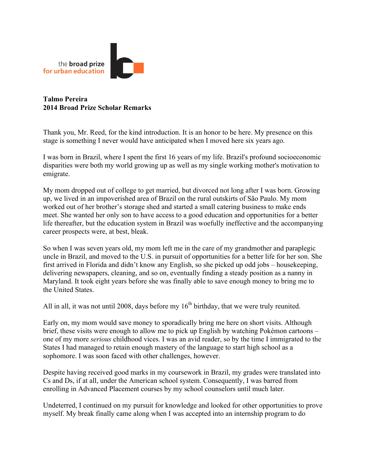

## **Talmo Pereira 2014 Broad Prize Scholar Remarks**

Thank you, Mr. Reed, for the kind introduction. It is an honor to be here. My presence on this stage is something I never would have anticipated when I moved here six years ago.

I was born in Brazil, where I spent the first 16 years of my life. Brazil's profound socioeconomic disparities were both my world growing up as well as my single working mother's motivation to emigrate.

My mom dropped out of college to get married, but divorced not long after I was born. Growing up, we lived in an impoverished area of Brazil on the rural outskirts of São Paulo. My mom worked out of her brother's storage shed and started a small catering business to make ends meet. She wanted her only son to have access to a good education and opportunities for a better life thereafter, but the education system in Brazil was woefully ineffective and the accompanying career prospects were, at best, bleak.

So when I was seven years old, my mom left me in the care of my grandmother and paraplegic uncle in Brazil, and moved to the U.S. in pursuit of opportunities for a better life for her son. She first arrived in Florida and didn't know any English, so she picked up odd jobs – housekeeping, delivering newspapers, cleaning, and so on, eventually finding a steady position as a nanny in Maryland. It took eight years before she was finally able to save enough money to bring me to the United States.

All in all, it was not until 2008, days before my  $16<sup>th</sup>$  birthday, that we were truly reunited.

Early on, my mom would save money to sporadically bring me here on short visits. Although brief, these visits were enough to allow me to pick up English by watching Pokémon cartoons – one of my more *serious* childhood vices. I was an avid reader, so by the time I immigrated to the States I had managed to retain enough mastery of the language to start high school as a sophomore. I was soon faced with other challenges, however.

Despite having received good marks in my coursework in Brazil, my grades were translated into Cs and Ds, if at all, under the American school system. Consequently, I was barred from enrolling in Advanced Placement courses by my school counselors until much later.

Undeterred, I continued on my pursuit for knowledge and looked for other opportunities to prove myself. My break finally came along when I was accepted into an internship program to do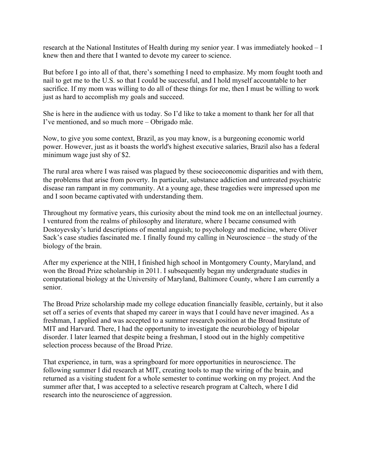research at the National Institutes of Health during my senior year. I was immediately hooked – I knew then and there that I wanted to devote my career to science.

But before I go into all of that, there's something I need to emphasize. My mom fought tooth and nail to get me to the U.S. so that I could be successful, and I hold myself accountable to her sacrifice. If my mom was willing to do all of these things for me, then I must be willing to work just as hard to accomplish my goals and succeed.

She is here in the audience with us today. So I'd like to take a moment to thank her for all that I've mentioned, and so much more – Obrigado mãe.

Now, to give you some context, Brazil, as you may know, is a burgeoning economic world power. However, just as it boasts the world's highest executive salaries, Brazil also has a federal minimum wage just shy of \$2.

The rural area where I was raised was plagued by these socioeconomic disparities and with them, the problems that arise from poverty. In particular, substance addiction and untreated psychiatric disease ran rampant in my community. At a young age, these tragedies were impressed upon me and I soon became captivated with understanding them.

Throughout my formative years, this curiosity about the mind took me on an intellectual journey. I ventured from the realms of philosophy and literature, where I became consumed with Dostoyevsky's lurid descriptions of mental anguish; to psychology and medicine, where Oliver Sack's case studies fascinated me. I finally found my calling in Neuroscience – the study of the biology of the brain.

After my experience at the NIH, I finished high school in Montgomery County, Maryland, and won the Broad Prize scholarship in 2011. I subsequently began my undergraduate studies in computational biology at the University of Maryland, Baltimore County, where I am currently a senior.

The Broad Prize scholarship made my college education financially feasible, certainly, but it also set off a series of events that shaped my career in ways that I could have never imagined. As a freshman, I applied and was accepted to a summer research position at the Broad Institute of MIT and Harvard. There, I had the opportunity to investigate the neurobiology of bipolar disorder. I later learned that despite being a freshman, I stood out in the highly competitive selection process because of the Broad Prize.

That experience, in turn, was a springboard for more opportunities in neuroscience. The following summer I did research at MIT, creating tools to map the wiring of the brain, and returned as a visiting student for a whole semester to continue working on my project. And the summer after that, I was accepted to a selective research program at Caltech, where I did research into the neuroscience of aggression.